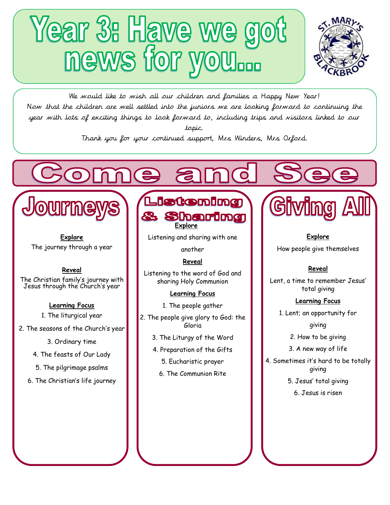# Year 3: Have we got<br>news for you...



We would like to wish all our children and families a Happy New Year! Now that the children are well settled into the juniors we are looking forward to continuing the year with lots of exciting things to look forward to, including trips and visitors linked to our topic.

Thank you for your continued support, Mrs Winders, Mrs Orford.

**Explore**

Journe

The journey through a year

Ĺ,

**Reveal**

The Christian family's journey with Jesus through the Church's year

## **Learning Focus**

- 1. The liturgical year
- 2. The seasons of the Church's year
	- 3. Ordinary time
	- 4. The feasts of Our Lady
	- 5. The pilgrimage psalms
	- 6. The Christian's life journey



Listening and sharing with one

another

# **Reveal**

Listening to the word of God and sharing Holy Communion

# **Learning Focus**

- 1. The people gather
- 2. The people give glory to God: the Gloria
	- 3. The Liturgy of the Word
	- 4. Preparation of the Gifts
		- 5. Eucharistic prayer
		- 6. The Communion Rite



**Explore** How people give themselves

# **Reveal**

Lent, a time to remember Jesus' total giving

# **Learning Focus**

1. Lent; an opportunity for

giving

2. How to be giving

3. A new way of life

4. Sometimes it's hard to be totally giving

5. Jesus' total giving

6. Jesus is risen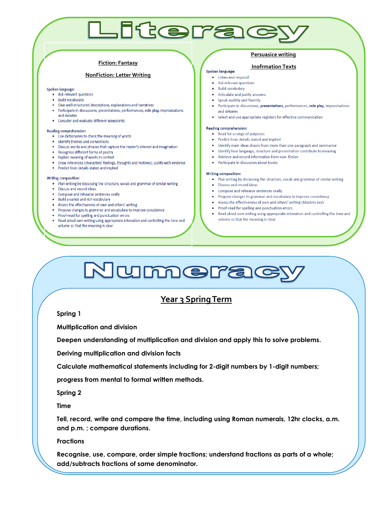#### **Fiction: Fantasy**

#### **NonFiction: Letter Writing**

#### **Spoken language:**

- Ask relevant questions
- · Build vocabulary
- Give well-structured descriptions, explanations and narratives
- Participate in discussions, presentations, performances, role play, improvisations and debates
- Consider and evaluate different viewpoints

#### **Reading comprehension:**

- . Use dictionaries to check the meaning of words
- · Identify themes and conventions
- . Discuss words and phrases that capture the reader's interest and imagination
- Recognise different forms of poetry
- . Explain meaning of words in context
- Draw inferences (characters' feelings, thoughts and motives); justify with evidence
- Predict from details stated and implied

#### Writing composition:

- . Plan writing by discussing the structure, vocab and grammar of similar writing
- · Discuss and record ideas
- Compose and rehearse sentences orally
- . Build a varied and rich vocabulary
- Assess the effectiveness of own and others' writing
- Propose changes to grammar and vocabulary to improve consistency
- Proof-read for spelling and punctuation errors
- Read aloud own writing using appropriate intonation and controlling the tone and volume so that the meaning is clear

#### **Persuasice writing**

#### **Inofrmation Texts**Spoken language:

• Listen and respond

Literac

- Ask relevant questions
- Build vocabulary
- Articulate and justify answers
- Speak audibly and fluently
- · Participate in discussions, presentations, performances, role play, improvisations and debates
- Select and use appropriate registers for effective communication

#### **Reading comprehension:**

- Read for a range of purposes
- Predict from details stated and implied
- Identify main ideas drawn from more than one paragraph and summarise
- Identify how language, structure and presentation contribute to meaning
- Retrieve and record information from non-fiction
- Participate in discussion about books

#### Writing composition:

- Plan writing by discussing the structure, vocab and grammar of similar writing
- Discuss and record ideas
- Compose and rehearse sentences orally
- Propose changes to grammar and vocabulary to improve consistency
- Assess the effectiveness of own and others' writing (Mastery key)
- Proof-read for spelling and punctuation errors
- Read aloud own writing using appropriate intonation and controlling the tone and volume so that the meaning is clear

# Numerac

# **Year 3 Spring Term**

**Spring 1** 

**Multiplication and division** 

**Deepen understanding of multiplication and division and apply this to solve problems.** 

**Deriving multiplication and division facts** 

**Calculate mathematical statements including for 2-digit numbers by 1-digit numbers;** 

**progress from mental to formal written methods.** 

**Spring 2** 

**Time** 

**Tell, record, write and compare the time, including using Roman numerals, 12hr clocks, a.m. and p.m. ; compare durations.** 

**Fractions** 

**Recognise, use, compare, order simple fractions; understand fractions as parts of a whole; add/subtracts fractions of same denominator.**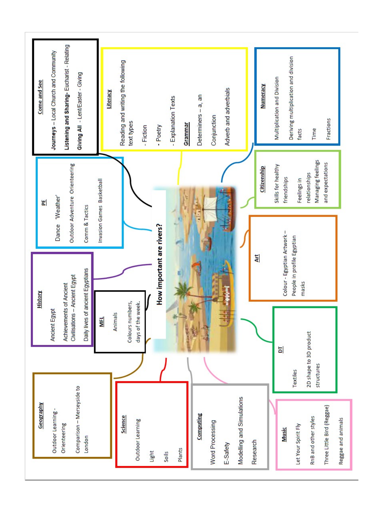